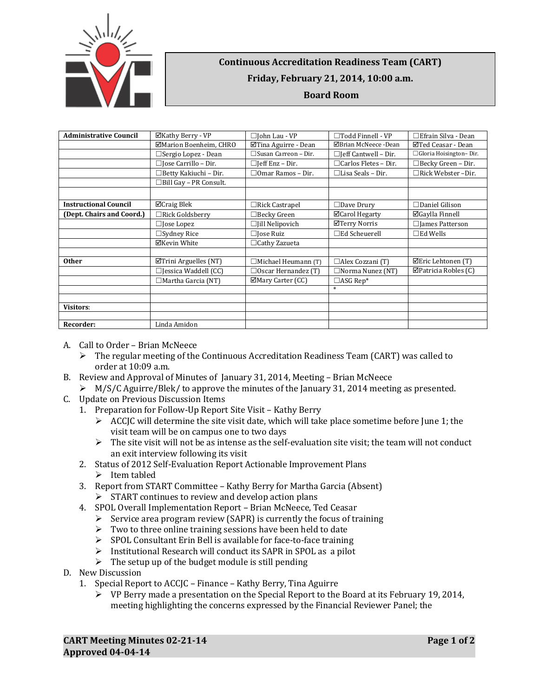

## **Continuous Accreditation Readiness Team (CART) Friday, February 21, 2014, 10:00 a.m. Board Room**

| <b>Administrative Council</b> | ⊠Kathy Berry - VP             | □John Lau - VP              | $\Box$ Todd Finnell - VP    | $\Box$ Efrain Silva - Dean |
|-------------------------------|-------------------------------|-----------------------------|-----------------------------|----------------------------|
|                               | ⊠Marion Boenheim, CHRO        | ⊠Tina Aguirre - Dean        | ⊠Brian McNeece -Dean        | ⊠Ted Ceasar - Dean         |
|                               | □ Sergio Lopez - Dean         | $\Box$ Susan Carreon – Dir. | $\Box$ Jeff Cantwell – Dir. | □ Gloria Hoisington-Dir.   |
|                               | $\Box$ Jose Carrillo – Dir.   | $\Box$ [eff Enz – Dir.      | $\Box$ Carlos Fletes - Dir. | $\Box$ Becky Green – Dir.  |
|                               | $\Box$ Betty Kakiuchi – Dir.  | $\Box$ Omar Ramos – Dir.    | $\Box$ Lisa Seals – Dir.    | □Rick Webster -Dir.        |
|                               | $\Box$ Bill Gay - PR Consult. |                             |                             |                            |
|                               |                               |                             |                             |                            |
| <b>Instructional Council</b>  | $\Box$ Craig Blek             | $\Box$ Rick Castrapel       | $\Box$ Dave Drury           | $\Box$ Daniel Gilison      |
| (Dept. Chairs and Coord.)     | $\Box$ Rick Goldsberry        | $\Box$ Becky Green          | ⊠Carol Hegarty              | ⊠Gaylla Finnell            |
|                               | $\Box$ Jose Lopez             | $\Box$ Jill Nelipovich      | ⊠Terry Norris               | $\Box$ James Patterson     |
|                               | $\Box$ Sydney Rice            | $\Box$ Jose Ruiz            | $\Box$ Ed Scheuerell        | $\Box$ Ed Wells            |
|                               | ⊠Kevin White                  | $\Box$ Cathy Zazueta        |                             |                            |
|                               |                               |                             |                             |                            |
| <b>Other</b>                  | $\Delta$ Trini Arguelles (NT) | □Michael Heumann (T)        | $\Box$ Alex Cozzani (T)     | ⊠Eric Lehtonen (T)         |
|                               | $\Box$ Jessica Waddell (CC)   | $\Box$ Oscar Hernandez (T)  | $\Box$ Norma Nunez (NT)     | $\Box$ Patricia Robles (C) |
|                               | $\Box$ Martha Garcia (NT)     | ⊠Mary Carter (CC)           | $\Box$ ASG Rep*             |                            |
|                               |                               |                             |                             |                            |
|                               |                               |                             |                             |                            |
| <b>Visitors:</b>              |                               |                             |                             |                            |
|                               |                               |                             |                             |                            |
| Recorder:                     | Linda Amidon                  |                             |                             |                            |

- A. Call to Order Brian McNeece
	- $\triangleright$  The regular meeting of the Continuous Accreditation Readiness Team (CART) was called to order at 10:09 a.m.
- B. Review and Approval of Minutes of January 31, 2014, Meeting Brian McNeece
	- $\triangleright$  M/S/C Aguirre/Blek/ to approve the minutes of the January 31, 2014 meeting as presented.
- C. Update on Previous Discussion Items
	- 1. Preparation for Follow-Up Report Site Visit Kathy Berry
		- $\triangleright$  ACCJC will determine the site visit date, which will take place sometime before June 1; the visit team will be on campus one to two days
		- $\triangleright$  The site visit will not be as intense as the self-evaluation site visit; the team will not conduct an exit interview following its visit
	- 2. Status of 2012 Self-Evaluation Report Actionable Improvement Plans  $\blacktriangleright$  Item tabled
	- 3. Report from START Committee Kathy Berry for Martha Garcia (Absent)  $\triangleright$  START continues to review and develop action plans
	- 4. SPOL Overall Implementation Report Brian McNeece, Ted Ceasar
		- $\triangleright$  Service area program review (SAPR) is currently the focus of training
		- $\triangleright$  Two to three online training sessions have been held to date
		- SPOL Consultant Erin Bell is available for face-to-face training
		- $\triangleright$  Institutional Research will conduct its SAPR in SPOL as a pilot
		- $\triangleright$  The setup up of the budget module is still pending
- D. New Discussion
	- 1. Special Report to ACCJC Finance Kathy Berry, Tina Aguirre
		- $\triangleright$  VP Berry made a presentation on the Special Report to the Board at its February 19, 2014, meeting highlighting the concerns expressed by the Financial Reviewer Panel; the